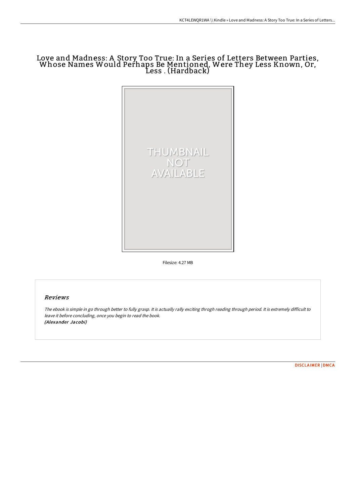# Love and Madness: A Story Too True: In a Series of Letters Between Parties,<br>Whose Names Would Perhaps Be Mentioned, Were They Less Known, Or, Less . (Hardback)



Filesize: 4.27 MB

### Reviews

The ebook is simple in go through better to fully grasp. It is actually rally exciting throgh reading through period. It is extremely difficult to leave it before concluding, once you begin to read the book. (Alexander Jacobi)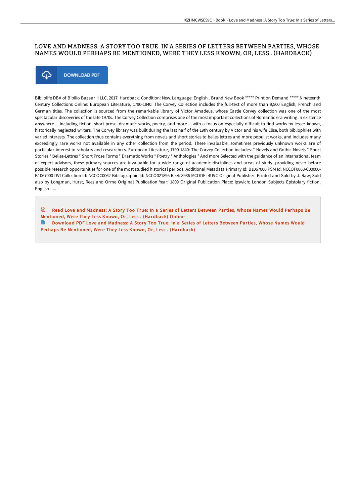## LOVE AND MADNESS: A STORY TOO TRUE: IN A SERIES OF LETTERS BETWEEN PARTIES, WHOSE NAMES WOULD PERHAPS BE MENTIONED, WERE THEY LESS KNOWN, OR, LESS . (HARDBACK)



Bibliolife DBA of Bibilio Bazaar II LLC, 2017. Hardback. Condition: New. Language: English . Brand New Book \*\*\*\*\* Print on Demand \*\*\*\*\*.Nineteenth Century Collections Online: European Literature, 1790-1840: The Corvey Collection includes the full-text of more than 9,500 English, French and German titles. The collection is sourced from the remarkable library of Victor Amadeus, whose Castle Corvey collection was one of the most spectacular discoveries of the late 1970s. The Corvey Collection comprises one of the most important collections of Romantic era writing in existence anywhere -- including fiction, short prose, dramatic works, poetry, and more -- with a focus on especially difficult-to-find works by lesser-known, historically neglected writers. The Corvey library was built during the last half of the 19th century by Victor and his wife Elise, both bibliophiles with varied interests. The collection thus contains everything from novels and short stories to belles lettres and more populist works, and includes many exceedingly rare works not available in any other collection from the period. These invaluable, sometimes previously unknown works are of particular interest to scholars and researchers. European Literature, 1790-1840: The Corvey Collection includes: \* Novels and Gothic Novels \* Short Stories \* Belles-Lettres \* Short Prose Forms \* Dramatic Works \* Poetry \* Anthologies \* And more Selected with the guidance of an international team of expert advisors, these primary sources are invaluable for a wide range of academic disciplines and areas of study, providing never before possible research opportunities for one of the most studied historical periods. Additional Metadata Primary Id: B1067000 PSM Id: NCCOF0063-C00000- B1067000 DVI Collection Id: NCCOC0062 Bibliographic Id: NCCO021895 Reel: 8936 MCODE: 4UVC Original Publisher: Printed and Sold by J. Raw; Sold also by Longman, Hurst, Rees and Orme Original Publication Year: 1809 Original Publication Place: Ipswich; London Subjects Epistolary fiction, English --...

⊕ Read Love and Madness: A Story Too True: In a Series of Letters Between Parties, Whose Names Would Perhaps Be Mentioned, Were They Less Known, Or, Less . [\(Hardback\)](http://www.bookdirs.com/love-and-madness-a-story-too-true-in-a-series-of-1.html) Online

Ta 1 Download PDF Love and Madness: A Story Too True: In a Series of Letters Between Parties, Whose Names Would Perhaps Be Mentioned, Were They Less Known, Or, Less . [\(Hardback\)](http://www.bookdirs.com/love-and-madness-a-story-too-true-in-a-series-of-1.html)